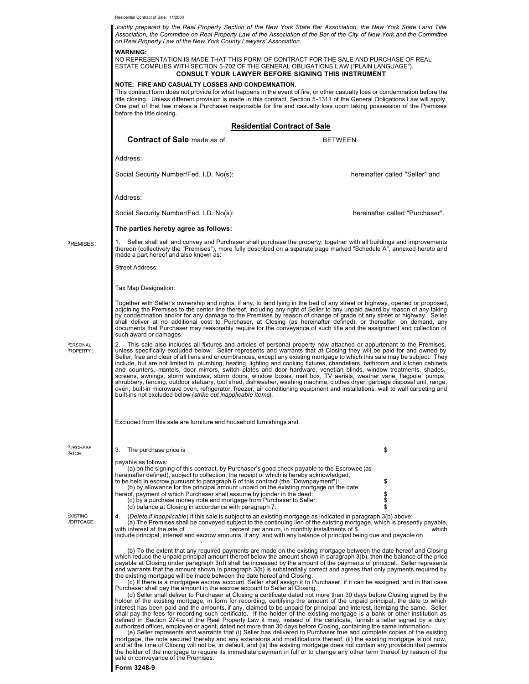*Jointly prepared by the Real Property Section of the New York State Bar Association, the New York State Land Title Association, the Committee on Real Property Law of the Association of the Bar of the City of New York and the Committee on Real Property Law of the New York County Lawyers' Association.* **WARNING:** NO REPRESENTATION IS MADE THAT THIS FORM OF CONTRACT FOR THE SALE AND PURCHASE OF REAL ESTATE COMPLIES WITH SECTION 5-702 OF THE GENERAL OBLIGATIONS L AW ("PLAIN LANGUAGE"). **CONSULT YOUR LAWYER BEFORE SIGNING THIS INSTRUMENT NOTE: FIRE AND CASUALTY LOSSES AND CONDEMNATION.** This contract form does not provide for what happens in the event of fire, or other casualty loss or condemnation before the title closing. Unless different provision is made in this contract, Section 5-1311 of the General Obligations Law will apply. One part of that law makes a Purchaser responsible for fire and casualty loss upon taking possession of the Premises before the title closing. **Residential Contract of Sale Contract of Sale** made as of BETWEEN Address: Social Security Number/Fed. I.D. No(s): hereinafter called "Seller" and Address: Social Security Number/Fed. I.D. No(s): hereinafter called "Purchaser". **The parties hereby agree as follows:** Seller shall sell and convey and Purchaser shall purchase the property, together with all buildings and improvements thereon (collectively the "Premises"), more fully described on a separate page marked "Schedule A", annexed hereto and made a part hereof and also known as: Street Address: Tax Map Designation: Together with Seller's ownership and rights, if any, to land lying in the bed of any street or highway, opened or proposed, adjoining the Premises to the center line thereof, including any right of Seller to any unpaid award by reason of any taking<br>by condemnation and/or for any damage to the Premises by reason of change of grade of any street documents that Purchaser may reasonably require for the conveyance of such title and the assignment and collection of such award or damages. 2. This sale also includes all fixtures and articles of personal property now attached or appurtenant to the Premises, unless specifically excluded below. Seller represents and warrants that at Closing they will be paid for and owned by Seller, free and clear of all liens and encumbrances, except any existing mortgage to which this sale may be subject. They<br>include, but are not limited to, plumbing, heating, lighting and cooking fixtures, chandeliers, ba screens, awnings, storm windows, storm doors, window boxes, mail box, TV aerials, weather vane, flagpole, pumps, shrubbery, fencing, outdoor statuary, tool shed, dishwasher, washing machine, clothes dryer, garbage disposal unit, range,<br>oven, built-in microwave oven, refrigerator, freezer, air conditioning equipment and installations, built-ins not excluded below (*strike out inapplicable items*). Excluded from this sale are furniture and household furnishings and 3. The purchase price is  $\sqrt{ }$ payable as follows: (a) on the signing of this contract, by Purchaser's good check payable to the Escrowee (as hereinafter defined), subject to collection, the receipt of which is hereby acknowledged,<br>to be held in escrow pursuant to paragraph 6 of this contract (the "Downpayment"): \$ (b) by allowance for the principal amount unpaid on the existing mortgage on the date hereof, payment of which Purchaser shall assume by joinder in the deed: \$ (c) by a purchase money note and mortgage from Purchaser to Seller: \$ (d) balance at Closing in accordance with paragraph 7: \$ 4. (*Delete if inapplicable*) If this sale is subject to an existing mortgage as indicated in paragraph 3(b) above:<br>.a) The Premises shall be conveyed subject to the continuing lien of the existing mortgage, which is prese with interest at the rate of percent per annum, in monthly installments of \$ include principal, interest and escrow amounts, if any, and with any balance of principal being due and payable on . (b) To the extent that any required payments are made on the existing mortgage between the date hereof and Closing<br>which reduce the unpaid principal amount thereof below the amount shown in paragraph 3(b), then the balance payable at Closing under paragraph 3(d) shall be increased by the amount of the payments of principal. Seller represents and warrants that the amount shown in paragraph 3(b) is substantially correct and agrees that only payments required by the existing mortgage will be made between the date hereof and Closing.<br>(c) If there is a mortgagee escrow account, Seller shall assign it to Purchaser, if it can be assigned, and in that case<br>Purchaser shall pay the amoun d) Seller shall deliver to Purchaser at Closing a certificate dated not more than 30 days before Closing signed by the<br>holder of the existing mortgage, in form for recording, certifying the amount of the unpaid principal, interest has been paid and the amounts, if any, claimed to be unpaid for principal and interest, itemizing the same. Seller<br>shall pay the fees for recording such certificate. If the holder of the existing mortgage is a ban PREMISES: **ERSONAL** PROPERTY : **URCHASE** PRICE: EXISTING MORTGAGE:

(e) Seller represents and warrants that (i) Seller has delivered to Purchaser true and complete copies of the existing<br>mortgage, the note secured thereby and any extensions and modifications thereof, (ii) the existing mort the holder of the mortgage to require its immediate payment in full or to change any other term thereof by reason of the sale or conveyance of the Premises.

Residential Contract of Sale: 11/2000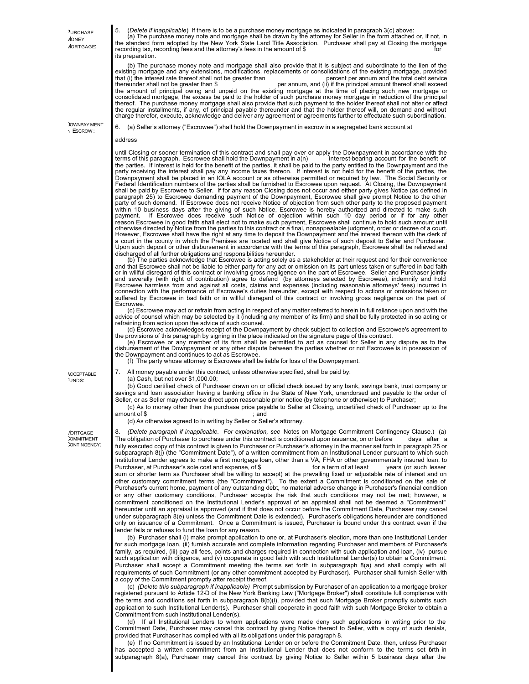5. (*Delete if inapplicable*) If there is to be a purchase money mortgage as indicated in paragraph 3(c) above:<br>(a) The purchase money note and mortgage shall be drawn by the attorney for Seller in the form attached or, if recording tax, recording fees and the attorney's fees in the amount of  $$$ its preparation. (b) The purchase money note and mortgage shall also provide that it is subject and subordinate to the lien of the existing mortgage and any extensions, modifications, replacements or consolidations of the existing mortgage, provided<br>that (i) the interest rate thereof shall not be greater than<br>percent per annum and the total debt servi that (i) the interest rate thereof shall not be greater than per annum, and for annum and the total debt service<br>thereunder shall not be greater than \$ per annum, and (ii) if the principal amount thereof shall exceed thereunder shall not be greater than \$<br>the amount of principal owing and unpaid on the existing mortgage at the time of placing such new mortgage or<br>consolidated mortgage, the excess be paid to the holder of such purchase 6. (a) Seller's attorney ("Escrowee") shall hold the Downpayment in escrow in a segregated bank account at address discharged of all further obligations and responsibilities hereunder. (b) The parties acknowledge that Escrowee is acting solely as a stakeholder at their request and for their convenience and that Escrowee shall not be liable to either party for any act or omission on its part unless taken or suffered in bad faith<br>or in willful disregard of this contract or involving gross negligence on the part of Escrowee and severally (with right of contribution) agree to defend (by attorneys selected by Escrowee), indemnify and hold<br>Escrowee harmless from and against all costs, claims and expenses (including reasonable attorneys' fees) i connection with the performance of Escrowee's duties hereunder, except with respect to actions or omissions taken or suffered by Escrowee in bad faith or in willful disregard of this contract or involving gross negligence on the part of **Escrowee** (c) Escrowee may act or refrain from acting in respect of any matter referred to herein in full reliance upon and with the advice of counsel which may be selected by it (including any member of its firm) and shall be fully protected in so acting or refraining from action upon the advice of such counsel. (d) Escrowee acknowledges receipt of the Downpayment by check subject to collection and Escrowee's agreement to the provisions of this paragraph by signing in the place indicated on the signature page of this contract. e) Escrowee or any member of its firm shall be permitted to act as counsel for Seller in any dispute as to the<br>disbursement of the Downpayment or any other dispute between the parties whether or not Escrowee is in possessi the Downpayment and continues to act as Escrowee. (f) The party whose attorney is Escrowee shall be liable for loss of the Downpayment. 7. All money payable under this contract, unless otherwise specified, shall be paid by: (a) Cash, but not over \$1,000.00; Seller, or as Seller may otherwise direct upon reasonable prior notice (by telephone or otherwise) to Purchaser; amount of \$ ; and (d) As otherwise agreed to in writing by Seller or Seller's attorney. lender fails or refuses to fund the loan for any reason. (b) Purchaser shall (i) make prompt application to one or, at Purchaser's election, more than one Institutional Lender for such mortgage loan, (ii) furnish accurate and complete information regarding Purchaser and members of Purchaser's family, as required, (iii) pay all fees, points and charges required in connection with such application and loan, (iv) pursue such application with diligence, and (v) cooperate in good faith with such Institutional Lender(s) to obtain a Commitment. Purchaser shall accept a Commitment meeting the terms set forth in subparagraph 8(a) and shall comply with all requirements of such Commitment (or any other commitment accepted by Purchaser). Purchaser shall furnish Seller with a copy of the Commitment promptly after receipt thereof. (c) *(Delete this subparagraph if inapplicable)* Prompt submission by Purchaser of an application to a mortgage broker registered pursuant to Article 12-D of the New York Banking Law ("Mortgage Broker") shall constitute full compliance with the terms and conditions set forth in subparagraph 8(b)(i), provided that such Mortgage Broker promptly submits such application to such Institutional Lender(s). Purchaser shall cooperate in good faith with such Mortgage Broker to obtain a Commitment from such Institutional Lender(s). **PURCHASE MONEY** MORTGAGE: DOWNPAY MENT N ESCROW : **ACCEPTABLE** FUNDS: *MORTGAGE* **COMMITMENT** CONTINGENCY

(d) If all Institutional Lenders to whom applications were made deny such applications in writing prior to the Commitment Date, Purchaser may cancel this contract by giving Notice thereof to Seller, with a copy of such denials, provided that Purchaser has complied with all its obligations under this paragraph 8.

(e) If no Commitment is issued by an Institutional Lender on or before the Commitment Date, then, unless Purchaser has accepted a written commitment from an Institutional Lender that does not conform to the terms set forth in subparagraph 8(a), Purchaser may cancel this contract by giving Notice to Seller within 5 business days after the

(b) Good certified check of Purchaser drawn on or official check issued by any bank, savings bank, trust company or savings and loan association having a banking office in the State of New York, unendorsed and payable to the order of

(c) As to money other than the purchase price payable to Seller at Closing, uncertified check of Purchaser up to the

8. *(Delete paragraph if inapplicable. For explanation, see* Notes on Mortgage Commitment Contingency Clause.) (a) The obligation of Purchaser to purchase under this contract is conditioned upon issuance, on or before days after a fully executed copy of this contract is given to Purchaser or Purchaser's attorney in the manner set forth in paragraph 25 or subparagraph 8(j) (the "Commitment Date"), of a written commitment from an Institutional Lender pursuant to which such Institutional Lender agrees to make a first mortgage loan, other than a VA, FHA or other governmentally insured loan, to<br>Purchaser, at Purchaser's sole cost and expense, of \$ for a term of at least years (or such lesser Purchaser, at Purchaser's sole cost and expense, of \$ for a term of at least years (or such lesser sum or shorter term as Purchaser shall be willing to accept) at the prevailing fixed or adjustable rate of interest and on other customary commitment terms (the "Commitment"). To the extent a Commitment is conditioned on the sale of Purchaser's current home, payment of any outstanding debt, no material adverse change in Purchaser's financial condition or any other customary conditions, Purchaser accepts the risk that such conditions may not be met; however, a commitment conditioned on the Institutional Lender's approval of an appraisal shall not be deemed a "Commitment" hereunder until an appraisal is approved (and if that does not occur before the Commitment Date, Purchaser may cancel under subparagraph 8(e) unless the Commitment Date is extended). Purchaser's obligations hereunder are conditioned only on issuance of a Commitment. Once a Commitment is issued, Purchaser is bound under this contract even if the

until Closing or sooner termination of this contract and shall pay over or apply the Downpayment in accordance with the<br>terms of this paragraph. Escrowee shall hold the Downpayment in a(n)<br>the parties. If interest is held Downpayment shall be placed in an IOLA account or as otherwise permitted or required by law. The Social Security or Federal Identification numbers of the parties shall be furnished to Escrowee upon request. At Closing, the Downpayment shall be paid by Escrowee to Seller. If for any reason Closing does not occur and either party gives Notice (as defined in<br>paragraph 25) to Escrowee demanding payment of the Downpayment, Escrowee shall give prompt Notice t within 10 business days after the giving of such Notice, Escrowee is hereby authorized and directed to make such<br>payment. If Escrowee does receive such Notice of objection within such 10 day period or if for otherwise directed by Notice from the parties to this contract or a final, nonappealable judgment, order or decree of a court.<br>However, Escrowee shall have the right at any time to deposit the Downpayment and the interest a court in the county in which the Premises are located and shall give Notice of such deposit to Seller and Purchaser.<br>Upon such deposit or other disbursement in accordance with the terms of this paragraph, Escrowee shall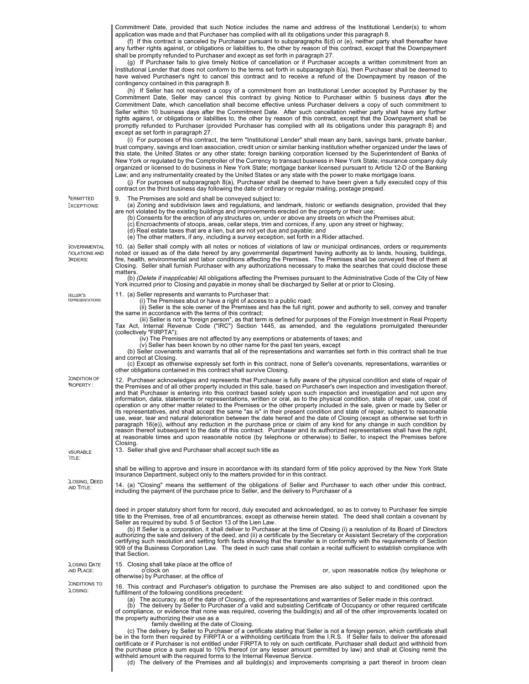Commitment Date, provided that such Notice includes the name and address of the Institutional Lender(s) to whom application was made and that Purchaser has complied with all its obligations under this paragraph 8. f) If this contract is canceled by Purchaser pursuant to subparagraphs 8(d) or (e), neither party shall thereafter have<br>any further rights against, or obligations or liabilities to, the other by reason of this contract, ex shall be promptly refunded to Purchaser and except as set forth in paragraph 27. (g) If Purchaser fails to give timely Notice of cancellation or if Purchaser accepts a written commitment from an Institutional Lender that does not conform to the terms set forth in subparagraph 8(a), then Purchaser shall be deemed to have waived Purchaser's right to cancel this contract and to receive a refund of the Downpayment by reason of the contingency contained in this paragraph 8. (h) If Seller has not received a copy of a commitment from an Institutional Lender accepted by Purchaser by the Commitment Date, Seller may cancel this contract by giving Notice to Purchaser within 5 business days after the Commitment Date, which cancellation shall become effective unless Purchaser delivers a copy of such commitment to Seller within 10 business days after the Commitment Date. After such cancellation neither party shall have any further rights agains t, or obligations or liabilities to, the other by reason of this contract, except that the Downpayment shall be promptly refunded to Purchaser (provided Purchaser has complied with all its obligations under this paragraph 8) and except as set forth in paragraph 27. (i) For purposes of this contract, the term "Institutional Lender" shall mean any bank, savings bank, private banker, trust company, savings and loan association, credit union or similar banking institution whether organized under the laws of this state, the United States or any other state; foreign banking corporation licensed by the Superintendent of Banks of New York or regulated by the Comptroller of the Currency to transact business in New York State; insurance company duly organized or licensed to do business in New York State; mortgage banker licensed pursuant to Article 12-D of the Banking Law; and any instrumentality created by the United States or any state with the power to make mortgage loans. (j) For purposes of subparagraph 8(a), Purchaser shall be deemed to have been given a fully executed copy of this contract on the third business day following the date of ordinary or regular mailing, postage prepaid. The Premises are sold and shall be conveyed subject to: (a) Zoning and subdivision laws and regulations, and landmark, historic or wetlands designation, provided that they are not violated by the existing buildings and improvements erected on the property or their use (b) Consents for the erection of any structures on, under or above any streets on which the Premises abut; (c) Encroachments of stoops, areas, cellar steps, trim and cornices, if any, upon any street or highway; (d) Real estate taxes that are a lien, but are not yet due and payable; and (e) The other matters, if any, including a survey exception, set forth in a Rider attached. 10. (a) Seller shall comply with all notes or notices of violations of law or municipal ordinances, orders or requirements noted or issued as of the date hereof by any governmental department having authority as to lands, housing, buildings, fire, health, environmental and labor conditions affecting the Premises. The Premises shall be conveyed free of them at Closing. Seller shall furnish Purchaser with any authorizations necessary to make the searches that could disclose these matters. (b) *(Delete if inapplicable)* All obligations affecting the Premises pursuant to the Administrative Code of the City of New<br>York incurred prior to Closing and payable in money shall be discharged by Seller at or prior to 11. (a) Seller represents and warrants to Purchaser that: (i) The Premises abut or have a right of access to a public road; (ii) Seller is the sole owner of the Premises and has the full right, power and authority to sell, convey and transfer the same in accordance with the terms of this contract; iii) Seller is not a "foreign person", as that term is defined for purposes of the Foreign Investment in Real Property)<br>Tax Act, Internal Revenue Code ("IRC") Section 1445, as amended, and the regulations prom (collectively "FIRPTA"); (iv) The Premises are not affected by any exemptions or abatements of taxes; and (v) Seller has been known by no other name for the past ten years, except (b) Seller covenants and warrants that all of the representations and warranties set forth in this contract shall be true and correct at Closing. (c) Except as otherwise expressly set forth in this contract, none of Seller's covenants, representations, warranties or other obligations contained in this contract shall survive Closing. 12. Purchaser acknowledges and represents that Purchaser is fully aware of the physical condition and state of repair of the Premises and of all other property included in this sale, based on Purchaser's own inspection and investigation thereof,<br>and that Purchaser is entering into this contract based solely upon such inspection and investiga operation or any other matter related to the Premises or the other property included in the sale, given or made by Seller or its representatives, and shall accept the same "as is" in their present condition and state of repair, subject to reasonable use, wear, tear and natural deterioration between the date hereof and the date of Closing (except as otherwise set forth in<br>paragraph 16(e)), without any reduction in the purchase price or claim of any kind for any change reason thereof subsequent to the date of this contract. Purchaser and its authorized representatives shall have the right, at reasonable times and upon reasonable notice (by telephone or otherwise) to Seller, to inspect the Premises before Closing. 13. Seller shall give and Purchaser shall accept such title as shall be willing to approve and insure in accordance with its standard form of title policy approved by the New York State Insurance Department, subject only to the matters provided for in this contract. 14. (a) "Closing" means the settlement of the obligations of Seller and Purchaser to each other under this contract, including the payment of the purchase price to Seller, and the delivery to Purchaser of a deed in proper statutory short form for record, duly executed and acknowledged, so as to convey to Purchaser fee simple title to the Premises, free of all encumbrances, except as otherwise herein stated. The deed shall contain a covenant by Seller as required by subd. 5 of Section 13 of the Lien Law. (b) If Seller is a corporation, it shall deliver to Purchaser at the time of Closing (i) a resolution of its Board of Directors authorizing the sale and delivery of the deed, and (ii) a certificate by the Secretary or Assistant Secretary of the corporation<br>certifying such resolution and setting forth facts showing that the transfer is in conformity 909 of the Business Corporation Law. The deed in such case shall contain a recital sufficient to establish compliance with that Section. 15. Closing shall take place at the office of<br>at o'clock on at o<sup>r</sup>clock on or, upon reasonable notice (by telephone or otherwise) by Purchaser, at the office of 16. This contract and Purchaser's obligation to purchase the Premises are also subject to and conditioned upon the fulfillment of the following conditions precedent: a) The accuracy, as of the date of Closing, of the representations and warranties of Seller made in this contract.<br>(b) The delivery by Seller to Purchaser of a valid and subsisting Certificate of Occupancy or other require the property authorizing their use as a family dwelling at the date of Closing. (c) The delivery by Seller to Purchaser of a certificate stating that Seller is not a foreign person, which certificate shall be in the form then required by FIRPTA or a withholding certificate from the I.R.S. If Seller fails to deliver the aforesaid<br>certificate or if Purchaser is not entitled under FIRPTA to rely on such certificate, Purchaser the purchase price a sum equal to 10% thereof (or any lesser amount permitted by law) and shall at Closing remit the withheld amount with the required forms to the Internal Revenue Service. PERMITTED EXCEPTIONS: **GOVERNMENTAL** VIOLATIONS AND ORDERS: SELLER'S **ENTATIONS** CONDITION OF **ROPERTY** *NSURABLE* TITLE: LOSING, DEED AND TITLE: LOSING DATE AND PLACE: CONDITIONS TO LOSING:

(d) The delivery of the Premises and all building(s) and improvements comprising a part thereof in broom clean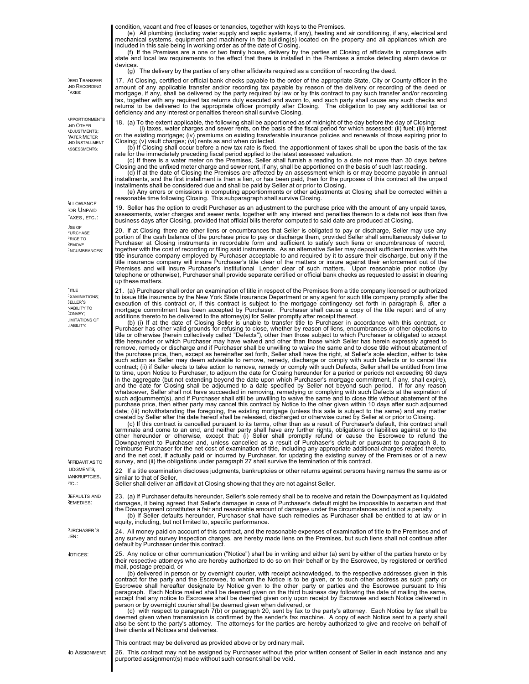condition, vacant and free of leases or tenancies, together with keys to the Premises. e) All plumbing (including water supply and septic systems, if any), heating and air conditioning, if any, electrical and<br>mechanical systems, equipment and machinery in the building(s) located on the property and all appli included in this sale being in working order as of the date of Closing. f) If the Premises are a one or two family house, delivery by the parties at Closing of affidavits in compliance with<br>state and local law requirements to the effect that there is installed in the Premises a smoke detecting devices (g) The delivery by the parties of any other affidavits required as a condition of recording the deed. 17. At Closing, certified or official bank checks payable to the order of the appropriate State, City or County officer in the amount of any applicable transfer and/or recording tax payable by reason of the delivery or recording of the deed or<br>mortgage, if any, shall be delivered by the party required by law or by this contract to pay such transfe tax, together with any required tax returns duly executed and sworn to, and such party shall cause any such checks and<br>returns to be delivered to the appropriate officer promptly after Closing. The obligation to pay any a 18. (a) To the extent applicable, the following shall be apportioned as of midnight of the day before the day of Closing: i) taxes, water charges and sewer rents, on the basis of the fiscal period for which assessed; (ii) fuel; (iii) interest)<br>on the existing mortgage; (iv) premiums on existing transferable insurance policies and renewals of Closing; (v) vault charges; (vi) rents as and when collected. (b) If Closing shall occur before a new tax rate is fixed, the apportionment of taxes shall be upon the basis of the tax rate for the immediately preceding fiscal period applied to the latest assessed valuation.<br>(c) If there is a water meter on the Premises, Seller shall furnish a reading to a date not more than 30 days before<br>Closing and th installments, and the first installment is then a lien, or has been paid, then for the purposes of this contract all the unpaid installments shall be considered due and shall be paid by Seller at or prior to Closing. (e) Any errors or omissions in computing apportionments or other adjustments at Closing shall be corrected within a reasonable time following Closing. This subparagraph shall survive Closing. 19. Seller has the option to credit Purchaser as an adjustment to the purchase price with the amount of any unpaid taxes, assessments, water charges and sewer rents, together with any interest and penalties thereon to a date not less than five business days after Closing, provided that official bills therefor computed to said date are produced at Closing. 20. If at Closing there are other liens or encumbrances that Seller is obligated to pay or discharge, Seller may use any portion of the cash balance of the purchase price to pay or discharge them, provided Seller shall simultaneously deliver to Purchaser at Closing instruments in recordable form and sufficient to satisfy such liens or encumbrances of record,<br>together with the cost of recording or filing said instruments. As an alternative Seller may deposit suffi title insurance company will insure Purchaser's title clear of the matters or insure against their enforcement out of the<br>Premises and will insure Purchaser's Institutional Lender clear of such matters. Upon reasonable p up these matters. 21. (a) Purchaser shall order an examination of title in respect of the Premises from a title company licensed or authorized to issue title insurance by the New York State Insurance Department or any agent for such title company promptly after the<br>execution of this contract or, if this contract is subject to the mortgage contingency set forth in mortgage commitment has been accepted by Purchaser. Purchaser shall cause a copy of the title report and of any additions thereto to be delivered to the attorney(s) for Seller promptly after receipt thereof.<br>(b) (i) If at the date of Closing Seller is unable to transfer title to Purchaser in accordance with this contract, or<br>Purchas title hereunder or which Purchaser may have waived and other than those which Seller has herein expressly agreed to remove, remedy or discharge and if Purchaser shall be unwilling to waive the same and to close title without abatement of<br>the purchase price, then, except as hereinafter set forth, Seller shall have the right, at Seller's contract; (ii) if Seller elects to take action to remove, remedy or comply with such Defects, Seller shall be entitled from time<br>to time, upon Notice to Purchaser, to adjourn the date for Closing hereunder for a period or purchase price, then either party may cancel this contract by Notice to the other given within 10 days after such adjourned date; (iii) notwithstanding the foregoing, the existing mortgage (unless this sale is subject to the same) and any matter<br>created by Seller after the date hereof shall be released, discharged or otherwise cured by Seller a (c) If this contract is cancelled pursuant to its terms, other than as a result of Purchaser's default, this contract shall terminate and come to an end, and neither party shall have any further rights, obligations or liabilities against or to the<br>other hereunder or otherwise, except that: (i) Seller shall promptly refund or cause the Escrowee Downpayment to Purchaser and, unless cancelled as a result of Purchaser's default or pursuant to paragraph 8, to reimburse Purchaser for the net cost of examination of title, including any appropriate additional charges related thereto, and the net cost, if actually paid or incurred by Purchaser, for updating the existing survey of the Premises or of a new survey, and (ii) the obligations under paragraph 27 shall survive the termination of this contract. 22 If a title examination discloses judgments, bankruptcies or other returns against persons having names the same as or similar to that of Seller, Seller shall deliver an affidavit at Closing showing that they are not against Seller. 23. (a) If Purchaser defaults hereunder, Seller's sole remedy shall be to receive and retain the Downpayment as liquidated damages, it being agreed that Seller's damages in case of Purchaser's default might be impossible to ascertain and that the Downpayment constitutes a fair and reasonable amount of damages under the circumstances and is not a penalty.<br>(b) If Seller defaults hereunder, Purchaser shall have such remedies as Purchaser shall be entitled to at la equity, including, but not limited to, specific performance. 24. All money paid on account of this contract, and the reasonable expenses of examination of title to the Premises and of any survey and survey inspection charges, are hereby made liens on the Premises, but such liens shall not continue after default by Purchaser under this contract. 25. Any notice or other communication ("Notice") shall be in writing and either (a) sent by either of the parties hereto or by their respective attorneys who are hereby authorized to do so on their behalf or by the Escrowee, by registered or certified mail, postage prepaid, or (b) delivered in person or by overnight courier, with receipt acknowledged, to the respective addresses given in this<br>contract for the party and the Escrowee, to whom the Notice is to be given, or to such other address as paragraph. Each Notice mailed shall be deemed given on the third business day following the date of mailing the same,<br>except that any notice to Escrowee shall be deemed given only upon receipt by Escrowee and each Notice c) with respect to paragraph 7(b) or paragraph 20, sent by fax to the party's attorney. Each Notice by fax shall be<br>deemed given when transmission is confirmed by the sender's fax machine. A copy of each Notice sent to a also be sent to the party's attorney. The attorneys for the parties are hereby authorized to give and receive on behalf of their clients all Notices and deliveries. This contract may be delivered as provided above or by ordinary mail. 26. This contract may not be assigned by Purchaser without the prior written consent of Seller in each instance and any purported assignment(s) made without such consent shall be void. DEED TRANSFER AND RECORDING AXES: **APPORTIONMENTS** AND OTHER ADJUSTMENTS; WATER METER AND INSTALLMENT **ASSESSMENTS: ALLOWANCE** OR UNPAID TAXES, ETC.: USE OF PURCHASE PRICE TO **REMOVE** ENCUMBRANCES: **TITLE** EXAMINATIONS; SELLER'S NABILITY TO CONVEY; LIMITATIONS OF LIABILITY: *NFFIDAVIT AS TC* UDGMENTS, **ANKRUPTCIES,** ETC.: DEFAULTS AND REMEDIES: **URCHASER**'S LIEN : NOTICES: **JO ASSIGNMENT:**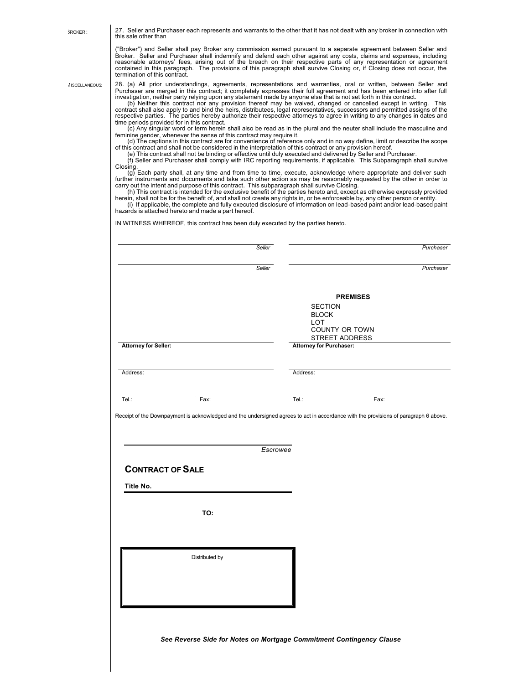| <b>SROKER:</b>              | 27. Seller and Purchaser each represents and warrants to the other that it has not dealt with any broker in connection with<br>this sale other than                                                                                                                                                                                                                                                                                                                                                                                                                                                                                                                                                                                                                                                                                                                                                                                                                                                                                                                                                                                                                                                                                                                                                                                                                                                                                                                                                                                                                                                                                                                                                                                                                                                                                                                                                                                                                                                                                                                                                                                                                                                                                                                                                                                                                                          |                                                                                                                                                             |
|-----------------------------|----------------------------------------------------------------------------------------------------------------------------------------------------------------------------------------------------------------------------------------------------------------------------------------------------------------------------------------------------------------------------------------------------------------------------------------------------------------------------------------------------------------------------------------------------------------------------------------------------------------------------------------------------------------------------------------------------------------------------------------------------------------------------------------------------------------------------------------------------------------------------------------------------------------------------------------------------------------------------------------------------------------------------------------------------------------------------------------------------------------------------------------------------------------------------------------------------------------------------------------------------------------------------------------------------------------------------------------------------------------------------------------------------------------------------------------------------------------------------------------------------------------------------------------------------------------------------------------------------------------------------------------------------------------------------------------------------------------------------------------------------------------------------------------------------------------------------------------------------------------------------------------------------------------------------------------------------------------------------------------------------------------------------------------------------------------------------------------------------------------------------------------------------------------------------------------------------------------------------------------------------------------------------------------------------------------------------------------------------------------------------------------------|-------------------------------------------------------------------------------------------------------------------------------------------------------------|
|                             | ("Broker") and Seller shall pay Broker any commission earned pursuant to a separate agreement between Seller and<br>Broker. Seller and Purchaser shall indemnify and defend each other against any costs, claims and expenses, including<br>reasonable attorneys' fees, arising out of the breach on their respective parts of any representation or agreement<br>contained in this paragraph. The provisions of this paragraph shall survive Closing or, if Closing does not occur, the<br>termination of this contract.                                                                                                                                                                                                                                                                                                                                                                                                                                                                                                                                                                                                                                                                                                                                                                                                                                                                                                                                                                                                                                                                                                                                                                                                                                                                                                                                                                                                                                                                                                                                                                                                                                                                                                                                                                                                                                                                    |                                                                                                                                                             |
| <b><i>ISCELLANEOUS:</i></b> | 28. (a) All prior understandings, agreements, representations and warranties, oral or written, between Seller and<br>Purchaser are merged in this contract; it completely expresses their full agreement and has been entered into after full<br>investigation, neither party relying upon any statement made by anyone else that is not set forth in this contract.<br>(b) Neither this contract nor any provision thereof may be waived, changed or cancelled except in writing. This<br>contract shall also apply to and bind the heirs, distributees, legal representatives, successors and permitted assigns of the<br>respective parties. The parties hereby authorize their respective attorneys to agree in writing to any changes in dates and<br>time periods provided for in this contract.<br>(c) Any singular word or term herein shall also be read as in the plural and the neuter shall include the masculine and<br>feminine gender, whenever the sense of this contract may require it.<br>(d) The captions in this contract are for convenience of reference only and in no way define, limit or describe the scope<br>of this contract and shall not be considered in the interpretation of this contract or any provision hereof.<br>(e) This contract shall not be binding or effective until duly executed and delivered by Seller and Purchaser.<br>(f) Seller and Purchaser shall comply with IRC reporting requirements, if applicable. This Subparagraph shall survive<br>Closing.<br>(g) Each party shall, at any time and from time to time, execute, acknowledge where appropriate and deliver such<br>further instruments and documents and take such other action as may be reasonably requested by the other in order to<br>carry out the intent and purpose of this contract. This subparagraph shall survive Closing.<br>(h) This contract is intended for the exclusive benefit of the parties hereto and, except as otherwise expressly provided<br>herein, shall not be for the benefit of, and shall not create any rights in, or be enforceable by, any other person or entity,<br>(i) If applicable, the complete and fully executed disclosure of information on lead-based paint and/or lead-based paint<br>hazards is attached hereto and made a part hereof.<br>IN WITNESS WHEREOF, this contract has been duly executed by the parties hereto. |                                                                                                                                                             |
|                             |                                                                                                                                                                                                                                                                                                                                                                                                                                                                                                                                                                                                                                                                                                                                                                                                                                                                                                                                                                                                                                                                                                                                                                                                                                                                                                                                                                                                                                                                                                                                                                                                                                                                                                                                                                                                                                                                                                                                                                                                                                                                                                                                                                                                                                                                                                                                                                                              |                                                                                                                                                             |
|                             | Seller                                                                                                                                                                                                                                                                                                                                                                                                                                                                                                                                                                                                                                                                                                                                                                                                                                                                                                                                                                                                                                                                                                                                                                                                                                                                                                                                                                                                                                                                                                                                                                                                                                                                                                                                                                                                                                                                                                                                                                                                                                                                                                                                                                                                                                                                                                                                                                                       | Purchaser                                                                                                                                                   |
|                             | Seller                                                                                                                                                                                                                                                                                                                                                                                                                                                                                                                                                                                                                                                                                                                                                                                                                                                                                                                                                                                                                                                                                                                                                                                                                                                                                                                                                                                                                                                                                                                                                                                                                                                                                                                                                                                                                                                                                                                                                                                                                                                                                                                                                                                                                                                                                                                                                                                       | Purchaser                                                                                                                                                   |
|                             | <b>Attorney for Seller:</b><br>Address:<br>Tel.:<br>Fax:<br>kecelpt or the Downpayment is acknowledged and the undersigned agrees to act in accordance with the provisions or paragraph 6 above.                                                                                                                                                                                                                                                                                                                                                                                                                                                                                                                                                                                                                                                                                                                                                                                                                                                                                                                                                                                                                                                                                                                                                                                                                                                                                                                                                                                                                                                                                                                                                                                                                                                                                                                                                                                                                                                                                                                                                                                                                                                                                                                                                                                             | <b>PREMISES</b><br><b>SECTION</b><br><b>BLOCK</b><br>LOT<br>COUNTY OR TOWN<br>STREET ADDRESS<br><b>Attorney for Purchaser:</b><br>Address:<br>Tel.:<br>Fax: |
|                             | Escrowee                                                                                                                                                                                                                                                                                                                                                                                                                                                                                                                                                                                                                                                                                                                                                                                                                                                                                                                                                                                                                                                                                                                                                                                                                                                                                                                                                                                                                                                                                                                                                                                                                                                                                                                                                                                                                                                                                                                                                                                                                                                                                                                                                                                                                                                                                                                                                                                     |                                                                                                                                                             |
| <b>CONTRACT OF SALE</b>     |                                                                                                                                                                                                                                                                                                                                                                                                                                                                                                                                                                                                                                                                                                                                                                                                                                                                                                                                                                                                                                                                                                                                                                                                                                                                                                                                                                                                                                                                                                                                                                                                                                                                                                                                                                                                                                                                                                                                                                                                                                                                                                                                                                                                                                                                                                                                                                                              |                                                                                                                                                             |
|                             | Title No.                                                                                                                                                                                                                                                                                                                                                                                                                                                                                                                                                                                                                                                                                                                                                                                                                                                                                                                                                                                                                                                                                                                                                                                                                                                                                                                                                                                                                                                                                                                                                                                                                                                                                                                                                                                                                                                                                                                                                                                                                                                                                                                                                                                                                                                                                                                                                                                    |                                                                                                                                                             |
|                             |                                                                                                                                                                                                                                                                                                                                                                                                                                                                                                                                                                                                                                                                                                                                                                                                                                                                                                                                                                                                                                                                                                                                                                                                                                                                                                                                                                                                                                                                                                                                                                                                                                                                                                                                                                                                                                                                                                                                                                                                                                                                                                                                                                                                                                                                                                                                                                                              |                                                                                                                                                             |
|                             | TO:                                                                                                                                                                                                                                                                                                                                                                                                                                                                                                                                                                                                                                                                                                                                                                                                                                                                                                                                                                                                                                                                                                                                                                                                                                                                                                                                                                                                                                                                                                                                                                                                                                                                                                                                                                                                                                                                                                                                                                                                                                                                                                                                                                                                                                                                                                                                                                                          |                                                                                                                                                             |
|                             |                                                                                                                                                                                                                                                                                                                                                                                                                                                                                                                                                                                                                                                                                                                                                                                                                                                                                                                                                                                                                                                                                                                                                                                                                                                                                                                                                                                                                                                                                                                                                                                                                                                                                                                                                                                                                                                                                                                                                                                                                                                                                                                                                                                                                                                                                                                                                                                              |                                                                                                                                                             |
|                             | Distributed by                                                                                                                                                                                                                                                                                                                                                                                                                                                                                                                                                                                                                                                                                                                                                                                                                                                                                                                                                                                                                                                                                                                                                                                                                                                                                                                                                                                                                                                                                                                                                                                                                                                                                                                                                                                                                                                                                                                                                                                                                                                                                                                                                                                                                                                                                                                                                                               |                                                                                                                                                             |
|                             | See Reverse Side for Notes on Mortgage Commitment Contingency Clause                                                                                                                                                                                                                                                                                                                                                                                                                                                                                                                                                                                                                                                                                                                                                                                                                                                                                                                                                                                                                                                                                                                                                                                                                                                                                                                                                                                                                                                                                                                                                                                                                                                                                                                                                                                                                                                                                                                                                                                                                                                                                                                                                                                                                                                                                                                         |                                                                                                                                                             |